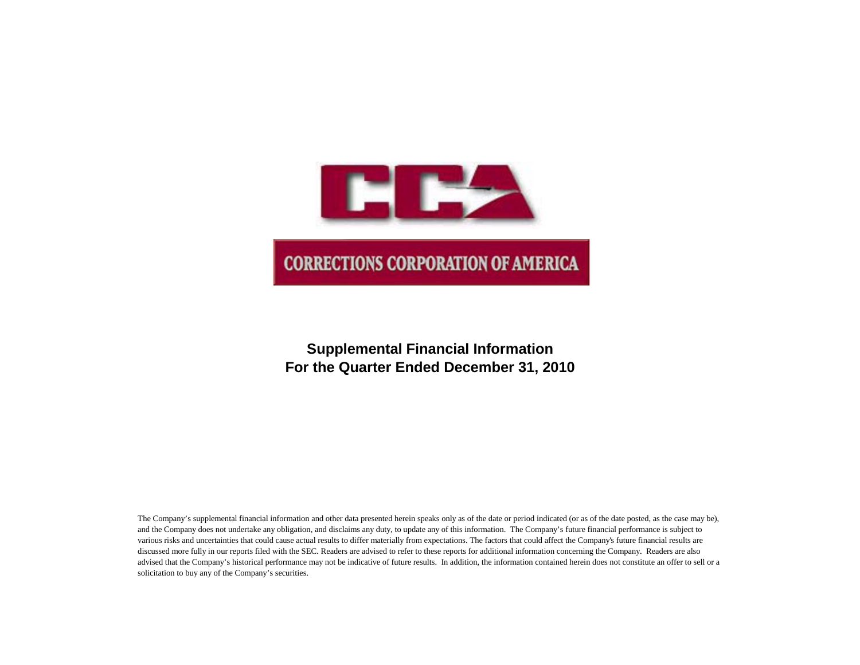

# **Supplemental Financial Information For the Quarter Ended December 31, 2010**

The Company's supplemental financial information and other data presented herein speaks only as of the date or period indicated (or as of the date posted, as the case may be), and the Company does not undertake any obligation, and disclaims any duty, to update any of this information. The Company's future financial performance is subject to various risks and uncertainties that could cause actual results to differ materially from expectations. The factors that could affect the Company's future financial results are discussed more fully in our reports filed with the SEC. Readers are advised to refer to these reports for additional information concerning the Company. Readers are also advised that the Company's historical performance may not be indicative of future results. In addition, the information contained herein does not constitute an offer to sell or a solicitation to buy any of the Company's securities.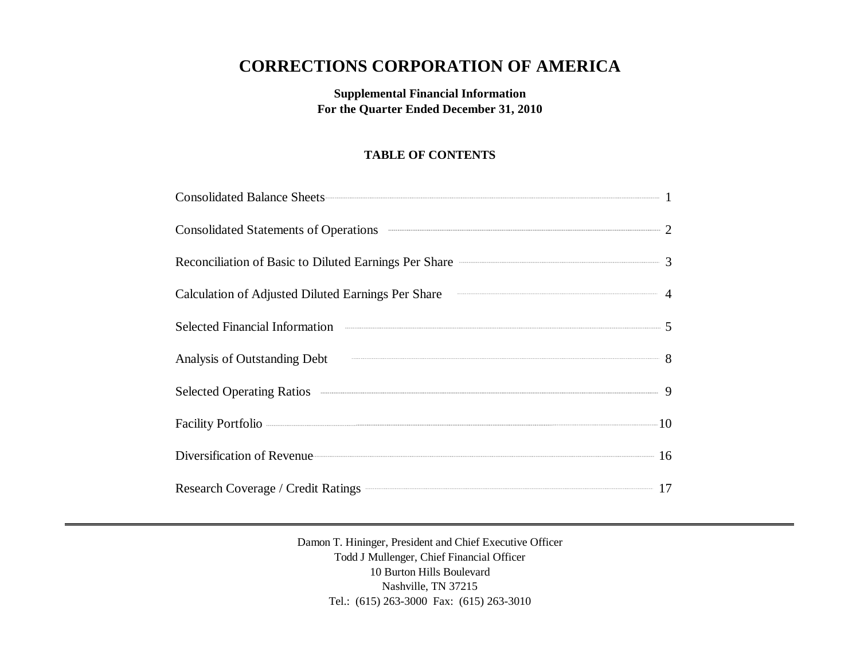# **CORRECTIONS CORPORATION OF AMERICA**

**Supplemental Financial Information For the Quarter Ended December 31, 2010**

# **TABLE OF CONTENTS**

| Consolidated Balance Sheets 1                                                                                                                                                                                                        |  |
|--------------------------------------------------------------------------------------------------------------------------------------------------------------------------------------------------------------------------------------|--|
| Consolidated Statements of Operations <b>Consolidated Statements</b> of Operations 2                                                                                                                                                 |  |
| Reconciliation of Basic to Diluted Earnings Per Share <b>Constanting Strate</b> 3                                                                                                                                                    |  |
| Calculation of Adjusted Diluted Earnings Per Share <b>Calculation</b> 4                                                                                                                                                              |  |
| Selected Financial Information <b>Constanting Constanting Constanting Constanting Constanting Constanting Constanting Constanting Constanting Constanting Constanting Constanting Constanting Constanting Constanting Constantin</b> |  |
| Analysis of Outstanding Debt 8                                                                                                                                                                                                       |  |
| Selected Operating Ratios 300 million of the Selected Operating Ratios 300 million of the Selected Operating Ratios                                                                                                                  |  |
|                                                                                                                                                                                                                                      |  |
| Diversification of Revenue 16                                                                                                                                                                                                        |  |
| Research Coverage / Credit Ratings 27                                                                                                                                                                                                |  |

Damon T. Hininger, President and Chief Executive Officer Todd J Mullenger, Chief Financial Officer 10 Burton Hills Boulevard Nashville, TN 37215 Tel.: (615) 263-3000 Fax: (615) 263-3010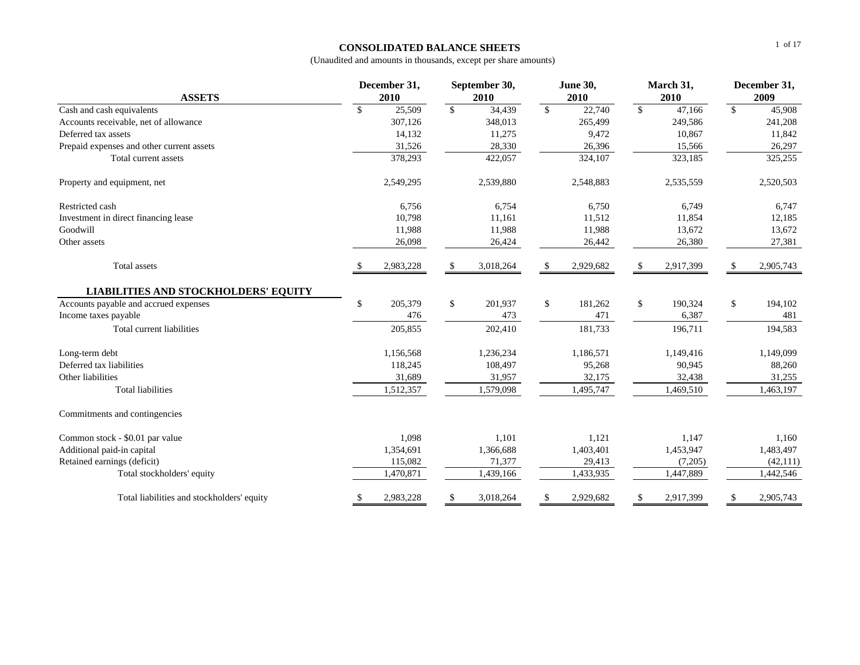## **CONSOLIDATED BALANCE SHEETS**

| <b>ASSETS</b>                               | December 31,<br>2010 |              | September 30,<br>2010 |              | <b>June 30,</b><br>2010 |               | March 31,<br>2010 |              | December 31,<br>2009 |
|---------------------------------------------|----------------------|--------------|-----------------------|--------------|-------------------------|---------------|-------------------|--------------|----------------------|
| Cash and cash equivalents                   | \$<br>25,509         | $\mathbb{S}$ | 34,439                | $\mathbb{S}$ | 22,740                  | $\mathcal{S}$ | 47,166            | $\mathbb{S}$ | 45,908               |
| Accounts receivable, net of allowance       | 307,126              |              | 348,013               |              | 265,499                 |               | 249,586           |              | 241,208              |
| Deferred tax assets                         | 14,132               |              | 11,275                |              | 9,472                   |               | 10,867            |              | 11,842               |
| Prepaid expenses and other current assets   | 31,526               |              | 28,330                |              | 26,396                  |               | 15,566            |              | 26,297               |
| Total current assets                        | 378,293              |              | 422,057               |              | 324,107                 |               | 323,185           |              | 325,255              |
| Property and equipment, net                 | 2,549,295            |              | 2,539,880             |              | 2,548,883               |               | 2,535,559         |              | 2,520,503            |
| Restricted cash                             | 6,756                |              | 6,754                 |              | 6,750                   |               | 6,749             |              | 6,747                |
| Investment in direct financing lease        | 10,798               |              | 11,161                |              | 11,512                  |               | 11,854            |              | 12,185               |
| Goodwill                                    | 11,988               |              | 11,988                |              | 11,988                  |               | 13,672            |              | 13,672               |
| Other assets                                | 26,098               |              | 26,424                |              | 26,442                  |               | 26,380            |              | 27,381               |
| <b>Total</b> assets                         | 2,983,228            | \$           | 3,018,264             | -S           | 2,929,682               | \$            | 2,917,399         |              | 2,905,743            |
| <b>LIABILITIES AND STOCKHOLDERS' EQUITY</b> |                      |              |                       |              |                         |               |                   |              |                      |
| Accounts payable and accrued expenses       | \$<br>205,379        | $\mathbb{S}$ | 201,937               | \$           | 181,262                 | \$            | 190,324           | \$           | 194,102              |
| Income taxes payable                        | 476                  |              | 473                   |              | 471                     |               | 6,387             |              | 481                  |
| Total current liabilities                   | 205,855              |              | 202,410               |              | 181,733                 |               | 196,711           |              | 194,583              |
| Long-term debt                              | 1,156,568            |              | 1,236,234             |              | 1,186,571               |               | 1,149,416         |              | 1,149,099            |
| Deferred tax liabilities                    | 118,245              |              | 108,497               |              | 95,268                  |               | 90,945            |              | 88,260               |
| Other liabilities                           | 31,689               |              | 31,957                |              | 32,175                  |               | 32,438            |              | 31,255               |
| <b>Total liabilities</b>                    | 1,512,357            |              | 1,579,098             |              | 1,495,747               |               | 1,469,510         |              | 1,463,197            |
| Commitments and contingencies               |                      |              |                       |              |                         |               |                   |              |                      |
| Common stock - \$0.01 par value             | 1,098                |              | 1,101                 |              | 1,121                   |               | 1,147             |              | 1,160                |
| Additional paid-in capital                  | 1,354,691            |              | 1,366,688             |              | 1,403,401               |               | 1,453,947         |              | 1,483,497            |
| Retained earnings (deficit)                 | 115,082              |              | 71,377                |              | 29,413                  |               | (7,205)           |              | (42, 111)            |
| Total stockholders' equity                  | 1,470,871            |              | 1,439,166             |              | 1,433,935               |               | 1,447,889         |              | 1,442,546            |
| Total liabilities and stockholders' equity  | \$<br>2,983,228      | \$           | 3,018,264             | \$           | 2,929,682               | \$            | 2,917,399         | \$           | 2,905,743            |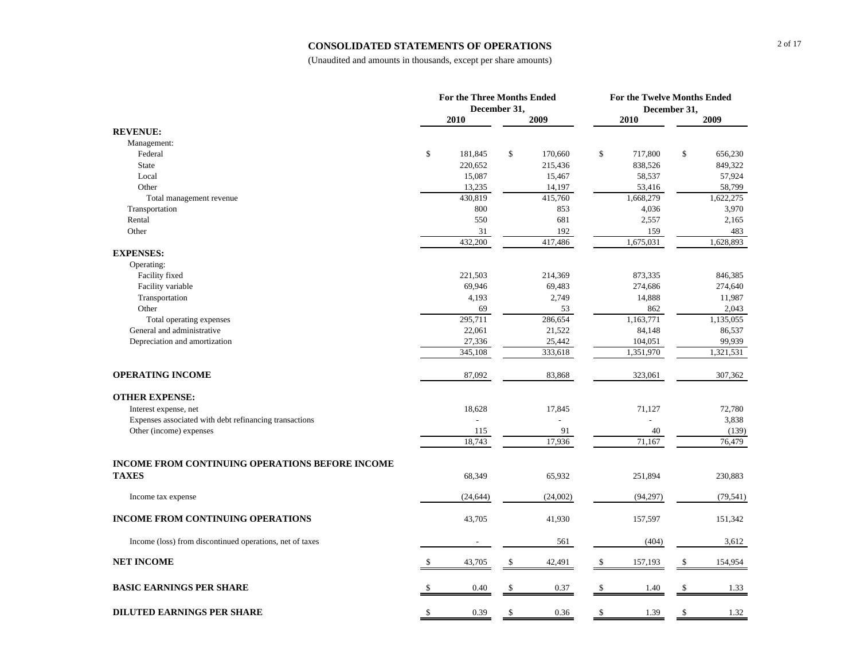#### **CONSOLIDATED STATEMENTS OF OPERATIONS**

|                                                          | <b>For the Three Months Ended</b> | December 31, |          | For the Twelve Months Ended<br>December 31, |    |           |
|----------------------------------------------------------|-----------------------------------|--------------|----------|---------------------------------------------|----|-----------|
|                                                          | 2010                              |              | 2009     | 2010                                        |    | 2009      |
| <b>REVENUE:</b>                                          |                                   |              |          |                                             |    |           |
| Management:                                              |                                   |              |          |                                             |    |           |
| Federal                                                  | \$<br>181,845                     | \$           | 170,660  | \$<br>717,800                               | \$ | 656,230   |
| <b>State</b>                                             | 220,652                           |              | 215,436  | 838,526                                     |    | 849,322   |
| Local                                                    | 15,087                            |              | 15,467   | 58,537                                      |    | 57,924    |
| Other                                                    | 13,235                            |              | 14,197   | 53,416                                      |    | 58,799    |
| Total management revenue                                 | 430,819                           |              | 415,760  | 1,668,279                                   |    | 1,622,275 |
| Transportation                                           | 800                               |              | 853      | 4,036                                       |    | 3,970     |
| Rental                                                   | 550                               |              | 681      | 2,557                                       |    | 2,165     |
| Other                                                    | 31                                |              | 192      | 159                                         |    | 483       |
|                                                          | 432,200                           |              | 417,486  | 1,675,031                                   |    | 1,628,893 |
| <b>EXPENSES:</b>                                         |                                   |              |          |                                             |    |           |
| Operating:                                               |                                   |              |          |                                             |    |           |
| Facility fixed                                           | 221,503                           |              | 214,369  | 873,335                                     |    | 846,385   |
| Facility variable                                        | 69,946                            |              | 69,483   | 274,686                                     |    | 274,640   |
| Transportation                                           | 4,193                             |              | 2,749    | 14,888                                      |    | 11,987    |
| Other                                                    | 69                                |              | 53       | 862                                         |    | 2,043     |
| Total operating expenses                                 | 295,711                           |              | 286,654  | 1,163,771                                   |    | 1,135,055 |
| General and administrative                               | 22,061                            |              | 21,522   | 84,148                                      |    | 86,537    |
| Depreciation and amortization                            | 27,336                            |              | 25,442   | 104,051                                     |    | 99,939    |
|                                                          | 345,108                           |              | 333,618  | 1,351,970                                   |    | 1,321,531 |
| <b>OPERATING INCOME</b>                                  | 87,092                            |              | 83,868   | 323,061                                     |    | 307,362   |
| <b>OTHER EXPENSE:</b>                                    |                                   |              |          |                                             |    |           |
| Interest expense, net                                    | 18,628                            |              | 17,845   | 71,127                                      |    | 72,780    |
| Expenses associated with debt refinancing transactions   |                                   |              |          |                                             |    | 3,838     |
| Other (income) expenses                                  | 115                               |              | 91       | 40                                          |    | (139)     |
|                                                          | 18,743                            |              | 17,936   | 71,167                                      |    | 76,479    |
| <b>INCOME FROM CONTINUING OPERATIONS BEFORE INCOME</b>   |                                   |              |          |                                             |    |           |
| <b>TAXES</b>                                             | 68,349                            |              | 65,932   | 251,894                                     |    | 230,883   |
| Income tax expense                                       | (24, 644)                         |              | (24,002) | (94, 297)                                   |    | (79, 541) |
| INCOME FROM CONTINUING OPERATIONS                        | 43,705                            |              | 41,930   | 157,597                                     |    | 151,342   |
| Income (loss) from discontinued operations, net of taxes |                                   |              | 561      | (404)                                       |    | 3,612     |
| <b>NET INCOME</b>                                        | 43,705                            | \$           | 42,491   | \$<br>157,193                               | \$ | 154,954   |
| <b>BASIC EARNINGS PER SHARE</b>                          | 0.40                              |              | 0.37     | \$<br>1.40                                  | \$ | 1.33      |
|                                                          |                                   |              |          |                                             |    |           |
| <b>DILUTED EARNINGS PER SHARE</b>                        | \$<br>0.39                        | \$           | 0.36     | \$<br>1.39                                  | \$ | 1.32      |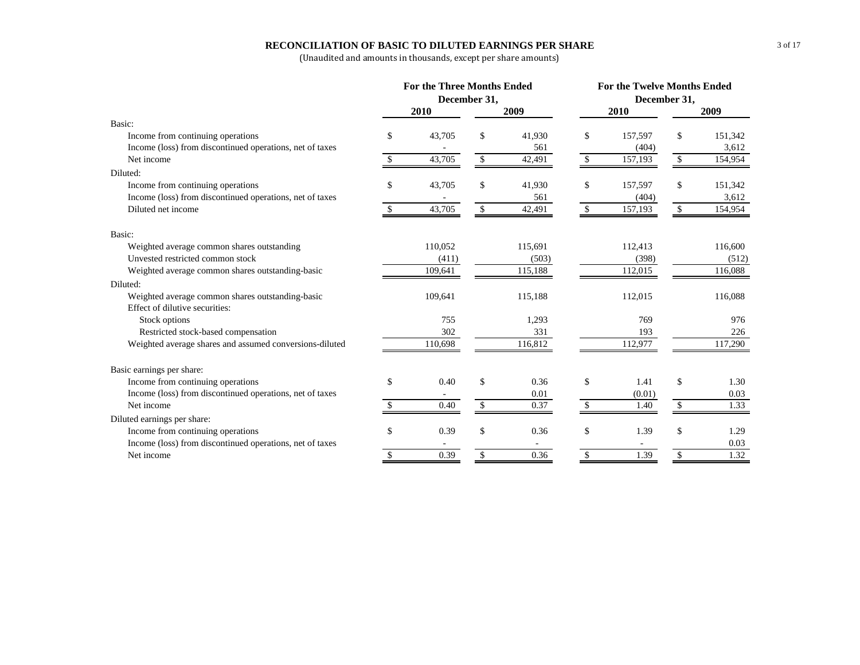## **RECONCILIATION OF BASIC TO DILUTED EARNINGS PER SHARE**

|                                                          |                                                                                                                                                                                                                                                                                         | <b>For the Three Months Ended</b> |            |               | <b>For the Twelve Months Ended</b> |               |
|----------------------------------------------------------|-----------------------------------------------------------------------------------------------------------------------------------------------------------------------------------------------------------------------------------------------------------------------------------------|-----------------------------------|------------|---------------|------------------------------------|---------------|
|                                                          |                                                                                                                                                                                                                                                                                         |                                   |            |               |                                    |               |
|                                                          | December 31,<br>December 31,<br>2010<br>2009<br>2010<br>\$<br>43,705<br>\$<br>41,930<br>\$<br>157,597<br>561<br>(404)<br>43,705<br>\$<br>42,491<br>\$<br>157,193<br>\$<br>\$<br>\$<br>43,705<br>41,930<br>157,597<br>561<br>(404)<br>43,705<br>\$<br>42,491<br><sup>\$</sup><br>157,193 |                                   | 2009       |               |                                    |               |
| Basic:                                                   |                                                                                                                                                                                                                                                                                         |                                   |            |               |                                    |               |
| Income from continuing operations                        |                                                                                                                                                                                                                                                                                         |                                   |            |               |                                    | \$<br>151,342 |
| Income (loss) from discontinued operations, net of taxes |                                                                                                                                                                                                                                                                                         |                                   |            |               |                                    | 3,612         |
| Net income                                               |                                                                                                                                                                                                                                                                                         |                                   |            |               |                                    | \$<br>154,954 |
| Diluted:                                                 |                                                                                                                                                                                                                                                                                         |                                   |            |               |                                    |               |
| Income from continuing operations                        |                                                                                                                                                                                                                                                                                         |                                   |            |               |                                    | \$<br>151,342 |
| Income (loss) from discontinued operations, net of taxes |                                                                                                                                                                                                                                                                                         |                                   |            |               |                                    | 3,612         |
| Diluted net income                                       |                                                                                                                                                                                                                                                                                         |                                   |            |               |                                    | \$<br>154,954 |
| Basic:                                                   |                                                                                                                                                                                                                                                                                         |                                   |            |               |                                    |               |
| Weighted average common shares outstanding               |                                                                                                                                                                                                                                                                                         | 110,052                           | 115,691    |               | 112,413                            | 116,600       |
| Unvested restricted common stock                         |                                                                                                                                                                                                                                                                                         | (411)                             | (503)      |               | (398)                              | (512)         |
| Weighted average common shares outstanding-basic         |                                                                                                                                                                                                                                                                                         | 109,641                           | 115,188    |               | 112,015                            | 116,088       |
| Diluted:                                                 |                                                                                                                                                                                                                                                                                         |                                   |            |               |                                    |               |
| Weighted average common shares outstanding-basic         |                                                                                                                                                                                                                                                                                         | 109,641                           | 115,188    |               | 112,015                            | 116,088       |
| Effect of dilutive securities:                           |                                                                                                                                                                                                                                                                                         |                                   |            |               |                                    |               |
| Stock options                                            |                                                                                                                                                                                                                                                                                         | 755                               | 1,293      |               | 769                                | 976           |
| Restricted stock-based compensation                      |                                                                                                                                                                                                                                                                                         | 302                               | 331        |               | 193                                | 226           |
| Weighted average shares and assumed conversions-diluted  |                                                                                                                                                                                                                                                                                         | 110,698                           | 116,812    |               | 112,977                            | 117,290       |
| Basic earnings per share:                                |                                                                                                                                                                                                                                                                                         |                                   |            |               |                                    |               |
| Income from continuing operations                        | \$                                                                                                                                                                                                                                                                                      | 0.40                              | \$<br>0.36 | \$            | 1.41                               | \$<br>1.30    |
| Income (loss) from discontinued operations, net of taxes |                                                                                                                                                                                                                                                                                         |                                   | 0.01       |               | (0.01)                             | 0.03          |
| Net income                                               |                                                                                                                                                                                                                                                                                         | 0.40                              | \$<br>0.37 | $\mathbb{S}$  | 1.40                               | \$<br>1.33    |
| Diluted earnings per share:                              |                                                                                                                                                                                                                                                                                         |                                   |            |               |                                    |               |
| Income from continuing operations                        | \$                                                                                                                                                                                                                                                                                      | 0.39                              | \$<br>0.36 | \$            | 1.39                               | \$<br>1.29    |
| Income (loss) from discontinued operations, net of taxes |                                                                                                                                                                                                                                                                                         |                                   |            |               |                                    | 0.03          |
| Net income                                               | S.                                                                                                                                                                                                                                                                                      | 0.39                              | \$<br>0.36 | <sup>\$</sup> | 1.39                               | \$<br>1.32    |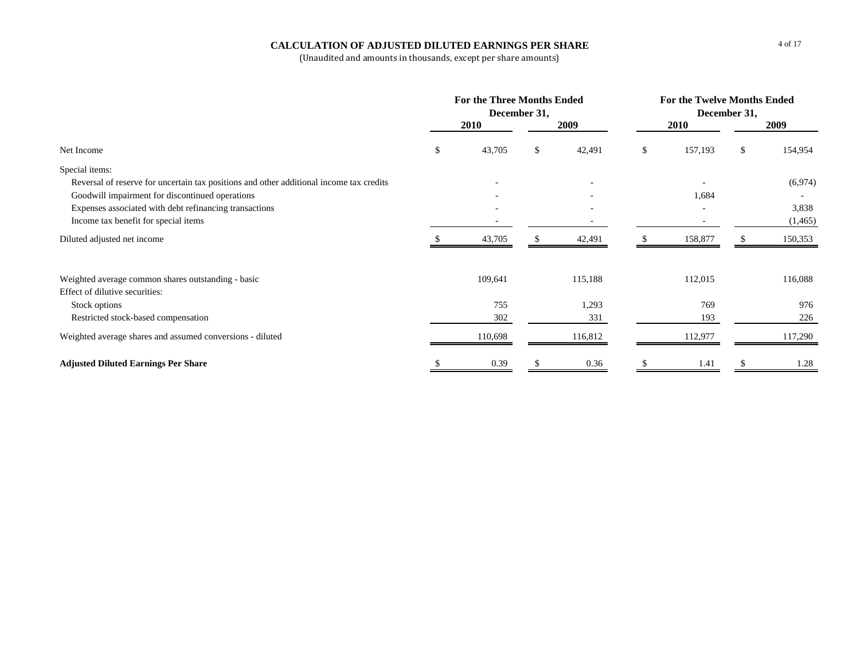## **CALCULATION OF ADJUSTED DILUTED EARNINGS PER SHARE**

|                                                                                         |     | For the Three Months Ended<br>December 31, |    |              | For the Twelve Months Ended<br>December 31, |             |    |         |  |
|-----------------------------------------------------------------------------------------|-----|--------------------------------------------|----|--------------|---------------------------------------------|-------------|----|---------|--|
|                                                                                         |     | 2010                                       |    | 2009         |                                             | <b>2010</b> |    | 2009    |  |
| Net Income                                                                              | \$. | 43,705                                     | S. | 42,491       | \$.                                         | 157,193     | \$ | 154,954 |  |
| Special items:                                                                          |     |                                            |    |              |                                             |             |    |         |  |
| Reversal of reserve for uncertain tax positions and other additional income tax credits |     |                                            |    |              |                                             |             |    | (6,974) |  |
| Goodwill impairment for discontinued operations                                         |     |                                            |    |              |                                             | 1,684       |    |         |  |
| Expenses associated with debt refinancing transactions                                  |     |                                            |    |              |                                             |             |    | 3,838   |  |
| Income tax benefit for special items                                                    |     |                                            |    |              |                                             |             |    | (1,465) |  |
| Diluted adjusted net income                                                             |     | 43,705                                     |    | 42,491       |                                             | 158,877     |    | 150,353 |  |
| Weighted average common shares outstanding - basic                                      |     | 109,641                                    |    | 115,188      |                                             | 112,015     |    | 116,088 |  |
| Effect of dilutive securities:                                                          |     |                                            |    |              |                                             |             |    |         |  |
| Stock options                                                                           |     | 755<br>302                                 |    | 1,293<br>331 |                                             | 769<br>193  |    | 976     |  |
| Restricted stock-based compensation                                                     |     |                                            |    |              |                                             |             |    | 226     |  |
| Weighted average shares and assumed conversions - diluted                               |     | 110,698                                    |    | 116,812      |                                             | 112,977     |    | 117,290 |  |
| <b>Adjusted Diluted Earnings Per Share</b>                                              |     | 0.39                                       |    | 0.36         |                                             | 1.41        |    | 1.28    |  |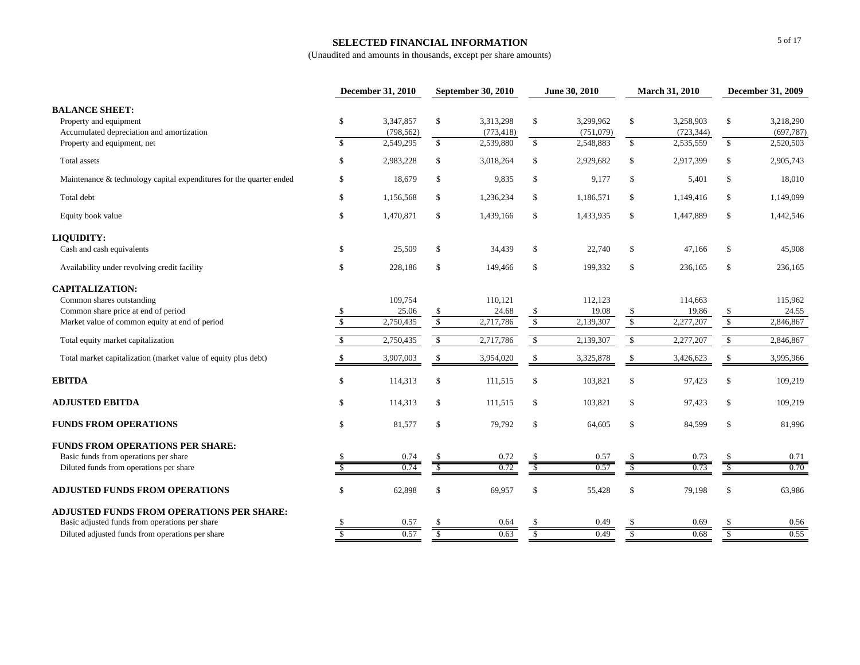## **SELECTED FINANCIAL INFORMATION**

|                                                                                                                             |                              | December 31, 2010                    |                          | <b>September 30, 2010</b>            |                              | June 30, 2010                       |                    | March 31, 2010                       |                          | December 31, 2009                    |
|-----------------------------------------------------------------------------------------------------------------------------|------------------------------|--------------------------------------|--------------------------|--------------------------------------|------------------------------|-------------------------------------|--------------------|--------------------------------------|--------------------------|--------------------------------------|
| <b>BALANCE SHEET:</b><br>Property and equipment<br>Accumulated depreciation and amortization<br>Property and equipment, net | $\mathbb{S}$<br>$\mathbb{S}$ | 3,347,857<br>(798, 562)<br>2,549,295 | \$<br>$\mathbb{S}$       | 3,313,298<br>(773, 418)<br>2,539,880 | $\mathbb{S}$<br>$\mathbb{S}$ | 3,299,962<br>(751,079)<br>2,548,883 | \$<br>$\mathbb{S}$ | 3,258,903<br>(723, 344)<br>2,535,559 | \$<br>$\mathbb{S}$       | 3,218,290<br>(697, 787)<br>2,520,503 |
| Total assets                                                                                                                | $\mathbb{S}$                 | 2,983,228                            | \$                       | 3,018,264                            | \$                           | 2,929,682                           | \$                 | 2,917,399                            | \$                       | 2,905,743                            |
| Maintenance & technology capital expenditures for the quarter ended                                                         | $\mathbb{S}$                 | 18,679                               | \$                       | 9,835                                | \$                           | 9,177                               | $\mathbb{S}$       | 5,401                                | \$                       | 18,010                               |
| Total debt                                                                                                                  | $\mathbb{S}$                 | 1,156,568                            | \$                       | 1,236,234                            | \$                           | 1,186,571                           | $\mathbb{S}$       | 1,149,416                            | \$                       | 1,149,099                            |
| Equity book value                                                                                                           | $\mathbb{S}$                 | 1,470,871                            | $\mathbb S$              | 1,439,166                            | \$                           | 1,433,935                           | $\mathbb{S}$       | 1,447,889                            | \$                       | 1,442,546                            |
| LIQUIDITY:                                                                                                                  |                              |                                      |                          |                                      |                              |                                     |                    |                                      |                          |                                      |
| Cash and cash equivalents                                                                                                   | $\mathbb{S}$                 | 25,509                               | $\mathbb{S}$             | 34,439                               | $\mathbb{S}$                 | 22,740                              | \$                 | 47,166                               | \$                       | 45,908                               |
| Availability under revolving credit facility                                                                                | $\mathbb{S}$                 | 228,186                              | $\mathbb S$              | 149,466                              | $\mathbb{S}$                 | 199,332                             | $\mathbb{S}$       | 236,165                              | \$                       | 236,165                              |
| <b>CAPITALIZATION:</b><br>Common shares outstanding<br>Common share price at end of period                                  | \$                           | 109,754<br>25.06                     | \$                       | 110,121<br>24.68                     | $\frac{\$}{\$}$              | 112,123<br>19.08                    | $\frac{\$}{\$}$    | 114,663<br>19.86                     | \$                       | 115,962<br>24.55                     |
| Market value of common equity at end of period                                                                              | $\mathbb{S}$                 | 2,750,435                            | $\mathbb S$              | 2,717,786                            |                              | 2,139,307                           |                    | 2,277,207                            | $\overline{\mathbf{s}}$  | 2,846,867                            |
| Total equity market capitalization                                                                                          | $\mathcal{S}$                | 2,750,435                            | $\mathbb{S}$             | 2,717,786                            | $\sqrt{2}$                   | 2,139,307                           | $\sqrt{2}$         | 2,277,207                            | $\mathbb{S}$             | 2,846,867                            |
| Total market capitalization (market value of equity plus debt)                                                              | -S                           | 3,907,003                            | $\mathbb{S}$             | 3,954,020                            | $\mathbb{S}$                 | 3,325,878                           | $\mathcal{S}$      | 3,426,623                            | \$                       | 3,995,966                            |
| <b>EBITDA</b>                                                                                                               | \$                           | 114,313                              | \$                       | 111,515                              | \$                           | 103,821                             | \$                 | 97,423                               | \$                       | 109,219                              |
| <b>ADJUSTED EBITDA</b>                                                                                                      | $\mathbb{S}$                 | 114,313                              | \$                       | 111,515                              | \$                           | 103,821                             | $\mathbb{S}$       | 97,423                               | \$                       | 109,219                              |
| <b>FUNDS FROM OPERATIONS</b>                                                                                                | $\mathbb{S}$                 | 81,577                               | \$                       | 79,792                               | \$                           | 64,605                              | \$                 | 84,599                               | \$                       | 81,996                               |
| <b>FUNDS FROM OPERATIONS PER SHARE:</b><br>Basic funds from operations per share                                            |                              | 0.74                                 |                          | 0.72                                 |                              | 0.57                                |                    | 0.73                                 |                          | 0.71                                 |
| Diluted funds from operations per share                                                                                     |                              | 0.74                                 | $\overline{\mathcal{S}}$ | 0.72                                 | $\overline{\mathcal{S}}$     | 0.57                                | S                  | 0.73                                 | $\overline{\mathcal{S}}$ | 0.70                                 |
| <b>ADJUSTED FUNDS FROM OPERATIONS</b>                                                                                       | <sup>\$</sup>                | 62,898                               | \$                       | 69,957                               | \$                           | 55,428                              | \$                 | 79,198                               | \$                       | 63,986                               |
| ADJUSTED FUNDS FROM OPERATIONS PER SHARE:<br>Basic adjusted funds from operations per share                                 | -S                           | 0.57                                 | \$                       | 0.64                                 |                              | 0.49                                | S                  | 0.69                                 |                          | 0.56                                 |
| Diluted adjusted funds from operations per share                                                                            | \$                           | 0.57                                 | <sup>\$</sup>            | 0.63                                 | S                            | 0.49                                | S                  | 0.68                                 | <sup>\$</sup>            | 0.55                                 |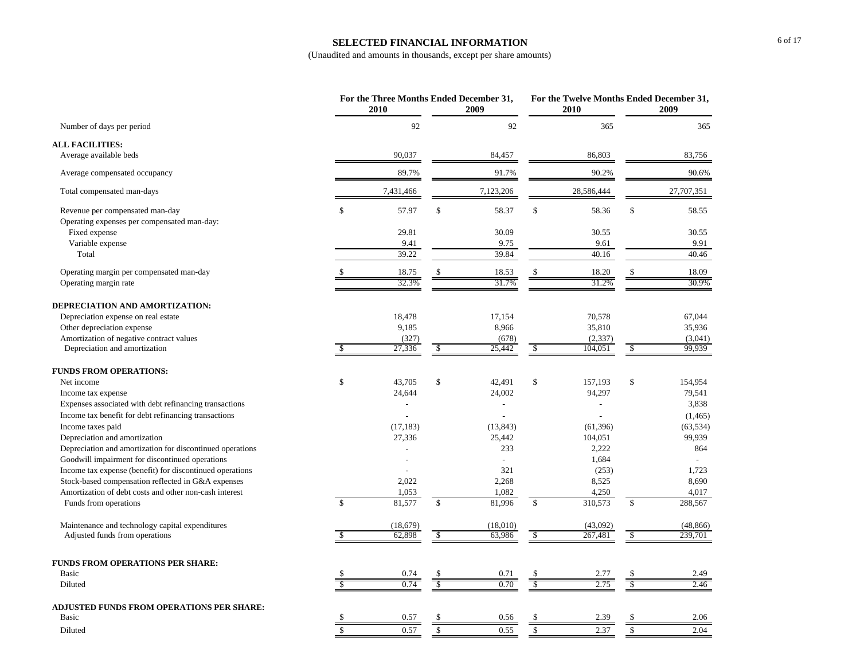## **SELECTED FINANCIAL INFORMATION**

|                                                                                 |               | For the Three Months Ended December 31,<br>2010 |               | 2009                     |              | For the Twelve Months Ended December 31,<br>2010 |                      | 2009             |
|---------------------------------------------------------------------------------|---------------|-------------------------------------------------|---------------|--------------------------|--------------|--------------------------------------------------|----------------------|------------------|
| Number of days per period                                                       |               | 92                                              |               | 92                       |              | 365                                              |                      | 365              |
| <b>ALL FACILITIES:</b>                                                          |               |                                                 |               |                          |              |                                                  |                      |                  |
| Average available beds                                                          |               | 90,037                                          |               | 84,457                   |              | 86,803                                           |                      | 83,756           |
| Average compensated occupancy                                                   |               | 89.7%                                           |               | 91.7%                    |              | 90.2%                                            |                      | 90.6%            |
| Total compensated man-days                                                      |               | 7,431,466                                       |               | 7,123,206                |              | 28,586,444                                       |                      | 27,707,351       |
| Revenue per compensated man-day<br>Operating expenses per compensated man-day:  | \$            | 57.97                                           | $\mathbb{S}$  | 58.37                    | \$           | 58.36                                            | \$                   | 58.55            |
| Fixed expense                                                                   |               | 29.81                                           |               | 30.09                    |              | 30.55                                            |                      | 30.55            |
| Variable expense                                                                |               | 9.41                                            |               | 9.75                     |              | 9.61                                             |                      | 9.91             |
| Total                                                                           |               | 39.22                                           |               | 39.84                    |              | 40.16                                            |                      | 40.46            |
| Operating margin per compensated man-day                                        |               | 18.75                                           | \$            | 18.53                    | \$           | 18.20                                            | \$                   | 18.09            |
| Operating margin rate                                                           |               | 32.3%                                           |               | 31.7%                    |              | 31.2%                                            |                      | 30.9%            |
| DEPRECIATION AND AMORTIZATION:                                                  |               |                                                 |               |                          |              |                                                  |                      |                  |
| Depreciation expense on real estate                                             |               | 18,478                                          |               | 17,154                   |              | 70,578                                           |                      | 67,044           |
| Other depreciation expense                                                      |               | 9,185                                           |               | 8,966                    |              | 35,810                                           |                      | 35,936           |
| Amortization of negative contract values                                        |               | (327)                                           |               | (678)                    |              | (2, 337)                                         |                      | (3,041)          |
| Depreciation and amortization                                                   | $\mathcal{S}$ | 27,336                                          | \$            | 25,442                   | $\sqrt{2}$   | 104,051                                          | $\sqrt{\frac{2}{5}}$ | 99,939           |
| <b>FUNDS FROM OPERATIONS:</b>                                                   |               |                                                 |               |                          |              |                                                  |                      |                  |
| Net income                                                                      | \$            | 43,705                                          | \$            | 42,491                   | \$           | 157,193                                          | \$                   | 154,954          |
| Income tax expense                                                              |               | 24,644                                          |               | 24,002                   |              | 94,297                                           |                      | 79,541           |
| Expenses associated with debt refinancing transactions                          |               |                                                 |               | $\overline{a}$           |              |                                                  |                      | 3,838            |
| Income tax benefit for debt refinancing transactions                            |               |                                                 |               |                          |              |                                                  |                      | (1, 465)         |
| Income taxes paid                                                               |               | (17, 183)                                       |               | (13, 843)                |              | (61, 396)                                        |                      | (63, 534)        |
| Depreciation and amortization                                                   |               | 27,336                                          |               | 25,442                   |              | 104,051                                          |                      | 99,939           |
| Depreciation and amortization for discontinued operations                       |               |                                                 |               | 233                      |              | 2,222                                            |                      | 864              |
| Goodwill impairment for discontinued operations                                 |               |                                                 |               | $\overline{\phantom{a}}$ |              | 1,684                                            |                      | $\overline{a}$   |
| Income tax expense (benefit) for discontinued operations                        |               |                                                 |               | 321                      |              | (253)                                            |                      | 1.723            |
| Stock-based compensation reflected in G&A expenses                              |               | 2,022                                           |               | 2,268                    |              | 8,525                                            |                      | 8,690            |
| Amortization of debt costs and other non-cash interest<br>Funds from operations | $\mathcal{S}$ | 1,053<br>81,577                                 | $\mathcal{S}$ | 1,082<br>81,996          | $\mathbb{S}$ | 4,250<br>310,573                                 | \$                   | 4,017<br>288,567 |
| Maintenance and technology capital expenditures                                 |               | (18, 679)                                       |               | (18,010)                 |              | (43,092)                                         |                      | (48, 866)        |
| Adjusted funds from operations                                                  |               | 62,898                                          | $\mathbb{S}$  | 63,986                   | \$           | 267,481                                          | \$                   | 239,701          |
|                                                                                 |               |                                                 |               |                          |              |                                                  |                      |                  |
| <b>FUNDS FROM OPERATIONS PER SHARE:</b>                                         |               |                                                 |               |                          |              |                                                  |                      |                  |
| Basic                                                                           |               | 0.74                                            |               | 0.71                     |              | 2.77                                             |                      | 2.49             |
| Diluted                                                                         |               | 0.74                                            | \$            | 0.70                     | S            | 2.75                                             |                      | 2.46             |
| ADJUSTED FUNDS FROM OPERATIONS PER SHARE:                                       |               |                                                 |               |                          |              |                                                  |                      |                  |
| <b>Basic</b>                                                                    |               | 0.57                                            |               | 0.56                     |              | 2.39                                             |                      | 2.06             |
| Diluted                                                                         | <sup>\$</sup> | 0.57                                            | \$            | 0.55                     | $\mathbb{S}$ | 2.37                                             | \$                   | 2.04             |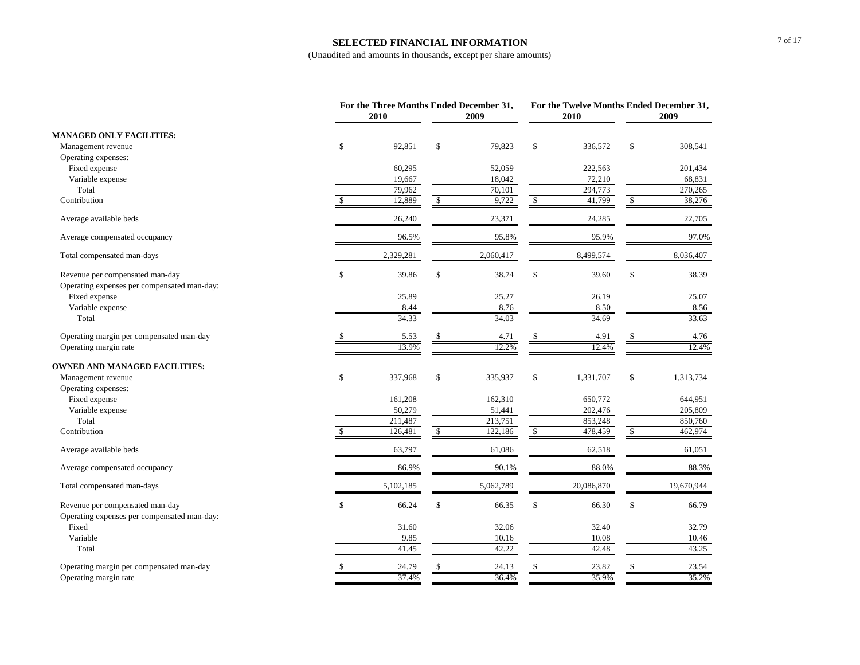#### **SELECTED FINANCIAL INFORMATION**

|                                             |               | For the Three Months Ended December 31,<br>2010 |              | 2009      |                          | For the Twelve Months Ended December 31,<br>2010 |                      | 2009       |
|---------------------------------------------|---------------|-------------------------------------------------|--------------|-----------|--------------------------|--------------------------------------------------|----------------------|------------|
| <b>MANAGED ONLY FACILITIES:</b>             |               |                                                 |              |           |                          |                                                  |                      |            |
| Management revenue                          | $\mathbb{S}$  | 92,851                                          | \$           | 79,823    | \$                       | 336,572                                          | \$                   | 308,541    |
| Operating expenses:                         |               |                                                 |              |           |                          |                                                  |                      |            |
| Fixed expense                               |               | 60,295                                          |              | 52,059    |                          | 222,563                                          |                      | 201,434    |
| Variable expense                            |               | 19,667                                          |              | 18,042    |                          | 72,210                                           |                      | 68,831     |
| Total                                       |               | 79,962                                          |              | 70,101    |                          | 294,773                                          |                      | 270,265    |
| Contribution                                |               | 12,889                                          | \$           | 9,722     | -S                       | 41,799                                           | \$                   | 38,276     |
| Average available beds                      |               | 26,240                                          |              | 23,371    |                          | 24,285                                           |                      | 22,705     |
| Average compensated occupancy               |               | 96.5%                                           |              | 95.8%     |                          | 95.9%                                            |                      | 97.0%      |
| Total compensated man-days                  |               | 2,329,281                                       |              | 2,060,417 |                          | 8,499,574                                        |                      | 8,036,407  |
| Revenue per compensated man-day             | $\mathbb S$   | 39.86                                           | $\mathbb{S}$ | 38.74     | $\$$                     | 39.60                                            | \$                   | 38.39      |
| Operating expenses per compensated man-day: |               |                                                 |              |           |                          |                                                  |                      |            |
| Fixed expense                               |               | 25.89                                           |              | 25.27     |                          | 26.19                                            |                      | 25.07      |
| Variable expense                            |               | 8.44                                            |              | 8.76      |                          | 8.50                                             |                      | 8.56       |
| Total                                       |               | 34.33                                           |              | 34.03     |                          | 34.69                                            |                      | 33.63      |
| Operating margin per compensated man-day    |               | 5.53                                            | \$           | 4.71      | \$                       | 4.91                                             | \$                   | 4.76       |
| Operating margin rate                       |               | 13.9%                                           |              | 12.2%     |                          | 12.4%                                            |                      | 12.4%      |
| <b>OWNED AND MANAGED FACILITIES:</b>        |               |                                                 |              |           |                          |                                                  |                      |            |
| Management revenue                          | $\mathbb{S}$  | 337,968                                         | $\mathbb S$  | 335,937   | \$                       | 1,331,707                                        | \$                   | 1,313,734  |
| Operating expenses:                         |               |                                                 |              |           |                          |                                                  |                      |            |
| Fixed expense                               |               | 161,208                                         |              | 162,310   |                          | 650,772                                          |                      | 644,951    |
| Variable expense                            |               | 50,279                                          |              | 51,441    |                          | 202,476                                          |                      | 205,809    |
| Total                                       |               | 211,487                                         |              | 213,751   |                          | 853,248                                          |                      | 850,760    |
| Contribution                                | <sup>\$</sup> | 126,481                                         | \$           | 122,186   | $\overline{\mathcal{S}}$ | 478,459                                          | $\sqrt{\frac{2}{3}}$ | 462,974    |
| Average available beds                      |               | 63,797                                          |              | 61,086    |                          | 62,518                                           |                      | 61,051     |
| Average compensated occupancy               |               | 86.9%                                           |              | 90.1%     |                          | 88.0%                                            |                      | 88.3%      |
| Total compensated man-days                  |               | 5,102,185                                       |              | 5,062,789 |                          | 20,086,870                                       |                      | 19,670,944 |
| Revenue per compensated man-day             | $\mathbb{S}$  | 66.24                                           | \$           | 66.35     | $\$$                     | 66.30                                            | \$                   | 66.79      |
| Operating expenses per compensated man-day: |               |                                                 |              |           |                          |                                                  |                      |            |
| Fixed                                       |               | 31.60                                           |              | 32.06     |                          | 32.40                                            |                      | 32.79      |
| Variable                                    |               | 9.85                                            |              | 10.16     |                          | 10.08                                            |                      | 10.46      |
| Total                                       |               | 41.45                                           |              | 42.22     |                          | 42.48                                            |                      | 43.25      |
| Operating margin per compensated man-day    |               | 24.79                                           |              | 24.13     |                          | 23.82                                            | \$                   | 23.54      |
| Operating margin rate                       |               | 37.4%                                           |              | 36.4%     |                          | 35.9%                                            |                      | 35.2%      |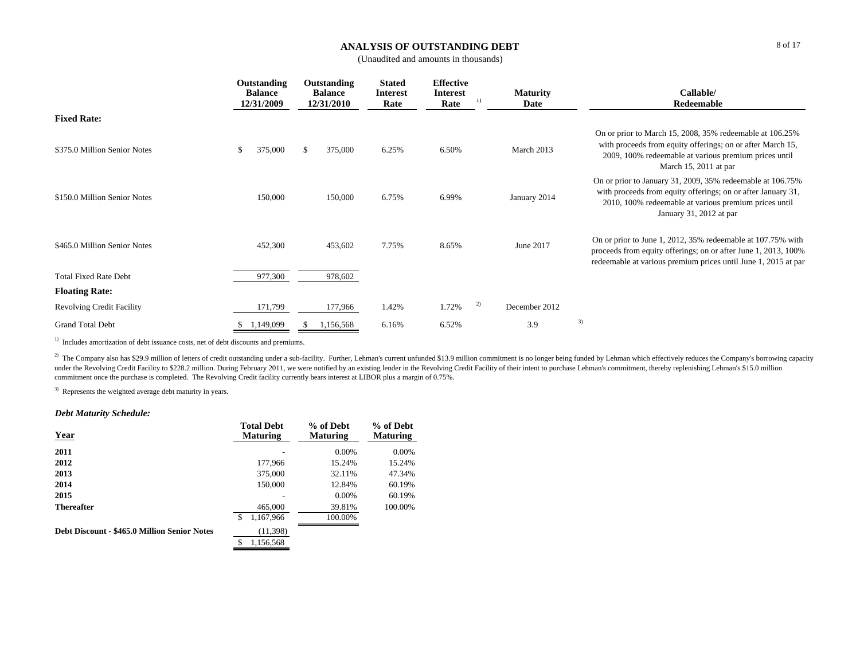## **ANALYSIS OF OUTSTANDING DEBT**

(Unaudited and amounts in thousands)

|                                  | Outstanding<br><b>Balance</b><br>12/31/2009 |           |               |       | Outstanding<br><b>Balance</b><br>12/31/2010 | <b>Stated</b><br><b>Interest</b><br>Rate | <b>Effective</b><br><b>Interest</b><br>Rate | 1)                                                                                                                                                                                                             | <b>Maturity</b><br>Date | Callable/<br>Redeemable |
|----------------------------------|---------------------------------------------|-----------|---------------|-------|---------------------------------------------|------------------------------------------|---------------------------------------------|----------------------------------------------------------------------------------------------------------------------------------------------------------------------------------------------------------------|-------------------------|-------------------------|
| <b>Fixed Rate:</b>               |                                             |           |               |       |                                             |                                          |                                             |                                                                                                                                                                                                                |                         |                         |
| \$375.0 Million Senior Notes     | S                                           | 375,000   | \$<br>375,000 | 6.25% | 6.50%                                       |                                          | March 2013                                  | On or prior to March 15, 2008, 35% redeemable at 106.25%<br>with proceeds from equity offerings; on or after March 15,<br>2009, 100% redeemable at various premium prices until<br>March 15, 2011 at par       |                         |                         |
| \$150.0 Million Senior Notes     |                                             | 150,000   | 150,000       | 6.75% | 6.99%                                       |                                          | January 2014                                | On or prior to January 31, 2009, 35% redeemable at 106.75%<br>with proceeds from equity offerings; on or after January 31,<br>2010, 100% redeemable at various premium prices until<br>January 31, 2012 at par |                         |                         |
| \$465.0 Million Senior Notes     |                                             | 452,300   | 453,602       | 7.75% | 8.65%                                       |                                          | June 2017                                   | On or prior to June 1, 2012, 35% redeemable at 107.75% with<br>proceeds from equity offerings; on or after June 1, 2013, 100%<br>redeemable at various premium prices until June 1, 2015 at par                |                         |                         |
| <b>Total Fixed Rate Debt</b>     |                                             | 977,300   | 978,602       |       |                                             |                                          |                                             |                                                                                                                                                                                                                |                         |                         |
| <b>Floating Rate:</b>            |                                             |           |               |       |                                             |                                          |                                             |                                                                                                                                                                                                                |                         |                         |
| <b>Revolving Credit Facility</b> |                                             | 171,799   | 177,966       | 1.42% | 1.72%                                       | 2)                                       | December 2012                               |                                                                                                                                                                                                                |                         |                         |
| <b>Grand Total Debt</b>          |                                             | 1,149,099 | 1,156,568     | 6.16% | 6.52%                                       |                                          | 3.9                                         | 3)                                                                                                                                                                                                             |                         |                         |

<sup>1)</sup> Includes amortization of debt issuance costs, net of debt discounts and premiums.

<sup>2)</sup> The Company also has \$29.9 million of letters of credit outstanding under a sub-facility. Further, Lehman's current unfunded \$13.9 million commitment is no longer being funded by Lehman which effectively reduces the C under the Revolving Credit Facility to \$228.2 million. During February 2011, we were notified by an existing lender in the Revolving Credit Facility of their intent to purchase Lehman's commitment, thereby replenishing Leh commitment once the purchase is completed. The Revolving Credit facility currently bears interest at LIBOR plus a margin of 0.75%.

<sup>3)</sup> Represents the weighted average debt maturity in years.

## *Debt Maturity Schedule:*

| <b>Year</b>                                  | <b>Total Debt</b><br><b>Maturing</b> | % of Debt<br><b>Maturing</b> | % of Debt<br><b>Maturing</b> |
|----------------------------------------------|--------------------------------------|------------------------------|------------------------------|
| 2011                                         |                                      | $0.00\%$                     | 0.00%                        |
| 2012                                         | 177,966                              | 15.24%                       | 15.24%                       |
| 2013                                         | 375,000                              | 32.11%                       | 47.34%                       |
| 2014                                         | 150,000                              | 12.84%                       | 60.19%                       |
| 2015                                         |                                      | $0.00\%$                     | 60.19%                       |
| <b>Thereafter</b>                            | 465,000                              | 39.81%                       | 100.00%                      |
|                                              | \$<br>1,167,966                      | 100.00%                      |                              |
| Debt Discount - \$465.0 Million Senior Notes | (11, 398)                            |                              |                              |
|                                              | 1,156,568<br>\$                      |                              |                              |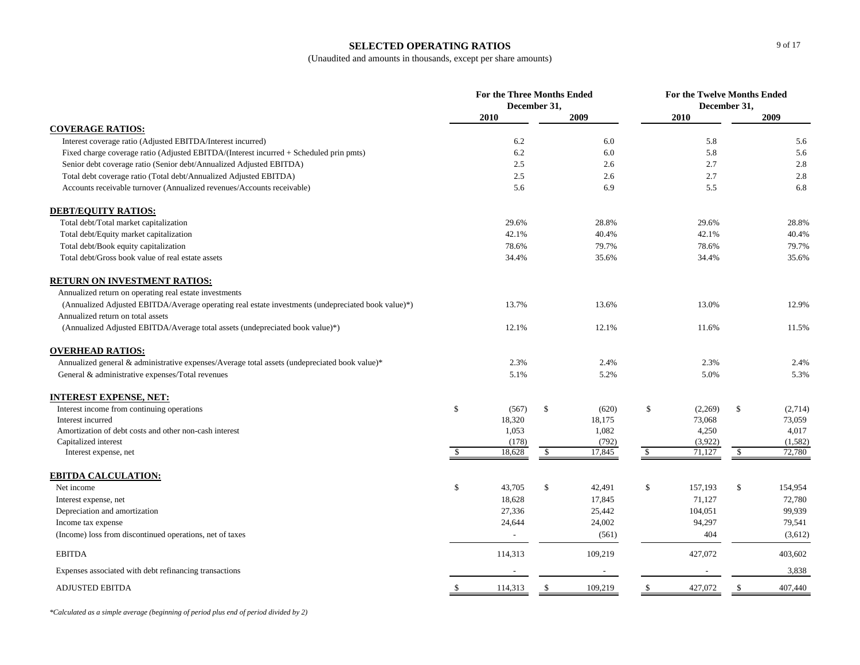#### **SELECTED OPERATING RATIOS**

(Unaudited and amounts in thousands, except per share amounts)

|                                                                                                    |             | For the Three Months Ended | December 31, |                          |               | For the Twelve Months Ended<br>December 31, |              |         |
|----------------------------------------------------------------------------------------------------|-------------|----------------------------|--------------|--------------------------|---------------|---------------------------------------------|--------------|---------|
|                                                                                                    |             | 2010                       |              | 2009                     |               | 2010                                        |              | 2009    |
| <b>COVERAGE RATIOS:</b>                                                                            |             |                            |              |                          |               |                                             |              |         |
| Interest coverage ratio (Adjusted EBITDA/Interest incurred)                                        |             | 6.2                        |              | 6.0                      |               | 5.8                                         |              | 5.6     |
| Fixed charge coverage ratio (Adjusted EBITDA/(Interest incurred + Scheduled prin pmts)             |             | 6.2                        |              | 6.0                      |               | 5.8                                         |              | 5.6     |
| Senior debt coverage ratio (Senior debt/Annualized Adjusted EBITDA)                                |             | 2.5                        |              | 2.6                      |               | 2.7                                         |              | 2.8     |
| Total debt coverage ratio (Total debt/Annualized Adjusted EBITDA)                                  |             | 2.5                        |              | 2.6                      |               | 2.7                                         |              | 2.8     |
| Accounts receivable turnover (Annualized revenues/Accounts receivable)                             |             | 5.6                        |              | 6.9                      |               | 5.5                                         |              | 6.8     |
| <b>DEBT/EQUITY RATIOS:</b>                                                                         |             |                            |              |                          |               |                                             |              |         |
| Total debt/Total market capitalization                                                             |             | 29.6%                      |              | 28.8%                    |               | 29.6%                                       |              | 28.8%   |
| Total debt/Equity market capitalization                                                            |             | 42.1%                      |              | 40.4%                    |               | 42.1%                                       |              | 40.4%   |
| Total debt/Book equity capitalization                                                              |             | 78.6%                      |              | 79.7%                    |               | 78.6%                                       |              | 79.7%   |
| Total debt/Gross book value of real estate assets                                                  |             | 34.4%                      |              | 35.6%                    |               | 34.4%                                       |              | 35.6%   |
| <b>RETURN ON INVESTMENT RATIOS:</b>                                                                |             |                            |              |                          |               |                                             |              |         |
| Annualized return on operating real estate investments                                             |             |                            |              |                          |               |                                             |              |         |
| (Annualized Adjusted EBITDA/Average operating real estate investments (undepreciated book value)*) |             | 13.7%                      |              | 13.6%                    |               | 13.0%                                       |              | 12.9%   |
| Annualized return on total assets                                                                  |             |                            |              |                          |               |                                             |              |         |
| (Annualized Adjusted EBITDA/Average total assets (undepreciated book value)*)                      |             | 12.1%                      |              | 12.1%                    |               | 11.6%                                       |              | 11.5%   |
| <b>OVERHEAD RATIOS:</b>                                                                            |             |                            |              |                          |               |                                             |              |         |
| Annualized general & administrative expenses/Average total assets (undepreciated book value)*      |             | 2.3%                       |              | 2.4%                     |               | 2.3%                                        |              | 2.4%    |
| General & administrative expenses/Total revenues                                                   |             | 5.1%                       |              | 5.2%                     |               | 5.0%                                        |              | 5.3%    |
| <u>INTEREST EXPENSE, NET:</u>                                                                      |             |                            |              |                          |               |                                             |              |         |
| Interest income from continuing operations                                                         | $\mathbb S$ | (567)                      | \$           | (620)                    | \$            | (2,269)                                     | \$           | (2,714) |
| Interest incurred                                                                                  |             | 18,320                     |              | 18,175                   |               | 73,068                                      |              | 73,059  |
| Amortization of debt costs and other non-cash interest                                             |             | 1,053                      |              | 1,082                    |               | 4,250                                       |              | 4,017   |
| Capitalized interest                                                                               |             | (178)                      |              | (792)                    |               | (3,922)                                     |              | (1,582) |
| Interest expense, net                                                                              | \$          | 18,628                     | -S           | 17,845                   | $\mathcal{S}$ | 71,127                                      | $\sqrt{2}$   | 72,780  |
| <b>EBITDA CALCULATION:</b>                                                                         |             |                            |              |                          |               |                                             |              |         |
| Net income                                                                                         | \$          | 43,705                     | $\$$         | 42,491                   | \$            | 157,193                                     | $\mathbb{S}$ | 154,954 |
| Interest expense, net                                                                              |             | 18,628                     |              | 17,845                   |               | 71,127                                      |              | 72,780  |
| Depreciation and amortization                                                                      |             | 27,336                     |              | 25,442                   |               | 104,051                                     |              | 99,939  |
| Income tax expense                                                                                 |             | 24,644                     |              | 24,002                   |               | 94,297                                      |              | 79,541  |
| (Income) loss from discontinued operations, net of taxes                                           |             | $\overline{a}$             |              | (561)                    |               | 404                                         |              | (3,612) |
| <b>EBITDA</b>                                                                                      |             | 114,313                    |              | 109,219                  |               | 427,072                                     |              | 403,602 |
| Expenses associated with debt refinancing transactions                                             |             |                            |              | $\overline{\phantom{a}}$ |               |                                             |              | 3,838   |
| <b>ADJUSTED EBITDA</b>                                                                             | -S          | 114,313                    | \$           | 109,219                  | \$            | 427,072                                     | -\$          | 407,440 |

*\*Calculated as a simple average (beginning of period plus end of period divided by 2)*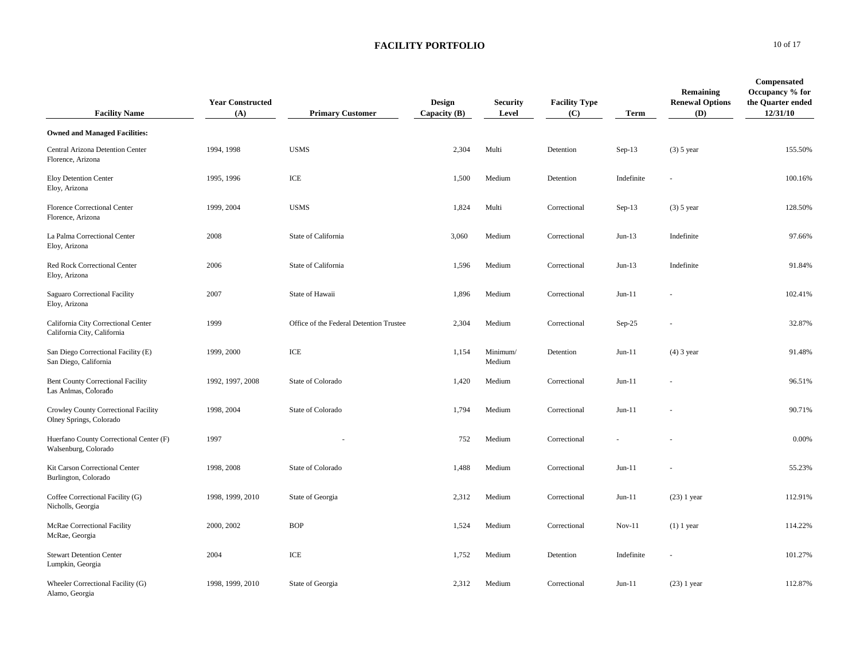| <b>Facility Name</b>                                               | <b>Year Constructed</b><br>(A) | <b>Primary Customer</b>                 | <b>Design</b><br>Capacity $(B)$ | <b>Security</b><br>Level | <b>Facility Type</b><br>(C) | <b>Term</b> | Remaining<br><b>Renewal Options</b><br><b>(D)</b> | Compensated<br>Occupancy % for<br>the Quarter ended<br>12/31/10 |
|--------------------------------------------------------------------|--------------------------------|-----------------------------------------|---------------------------------|--------------------------|-----------------------------|-------------|---------------------------------------------------|-----------------------------------------------------------------|
| <b>Owned and Managed Facilities:</b>                               |                                |                                         |                                 |                          |                             |             |                                                   |                                                                 |
| Central Arizona Detention Center<br>Florence, Arizona              | 1994, 1998                     | <b>USMS</b>                             | 2,304                           | Multi                    | Detention                   | Sep-13      | $(3)$ 5 year                                      | 155.50%                                                         |
| <b>Eloy Detention Center</b><br>Eloy, Arizona                      | 1995, 1996                     | ICE                                     | 1,500                           | Medium                   | Detention                   | Indefinite  |                                                   | 100.16%                                                         |
| Florence Correctional Center<br>Florence, Arizona                  | 1999, 2004                     | <b>USMS</b>                             | 1,824                           | Multi                    | Correctional                | $Sep-13$    | $(3)$ 5 year                                      | 128.50%                                                         |
| La Palma Correctional Center<br>Eloy, Arizona                      | 2008                           | State of California                     | 3,060                           | Medium                   | Correctional                | $Jun-13$    | Indefinite                                        | 97.66%                                                          |
| Red Rock Correctional Center<br>Eloy, Arizona                      | 2006                           | State of California                     | 1,596                           | Medium                   | Correctional                | $Jun-13$    | Indefinite                                        | 91.84%                                                          |
| Saguaro Correctional Facility<br>Eloy, Arizona                     | 2007                           | State of Hawaii                         | 1,896                           | Medium                   | Correctional                | $Jun-11$    |                                                   | 102.41%                                                         |
| California City Correctional Center<br>California City, California | 1999                           | Office of the Federal Detention Trustee | 2,304                           | Medium                   | Correctional                | $Sep-25$    |                                                   | 32.87%                                                          |
| San Diego Correctional Facility (E)<br>San Diego, California       | 1999, 2000                     | ICE                                     | 1,154                           | Minimum/<br>Medium       | Detention                   | $Jun-11$    | $(4)$ 3 year                                      | 91.48%                                                          |
| <b>Bent County Correctional Facility</b><br>Las Animas, Colorado   | 1992, 1997, 2008               | State of Colorado                       | 1,420                           | Medium                   | Correctional                | $Jun-11$    |                                                   | 96.51%                                                          |
| Crowley County Correctional Facility<br>Olney Springs, Colorado    | 1998, 2004                     | State of Colorado                       | 1,794                           | Medium                   | Correctional                | $Jun-11$    |                                                   | 90.71%                                                          |
| Huerfano County Correctional Center (F)<br>Walsenburg, Colorado    | 1997                           |                                         | 752                             | Medium                   | Correctional                |             |                                                   | 0.00%                                                           |
| Kit Carson Correctional Center<br>Burlington, Colorado             | 1998, 2008                     | State of Colorado                       | 1,488                           | Medium                   | Correctional                | $Jun-11$    |                                                   | 55.23%                                                          |
| Coffee Correctional Facility (G)<br>Nicholls, Georgia              | 1998, 1999, 2010               | State of Georgia                        | 2,312                           | Medium                   | Correctional                | $Jun-11$    | $(23)$ 1 year                                     | 112.91%                                                         |
| <b>McRae Correctional Facility</b><br>McRae, Georgia               | 2000, 2002                     | <b>BOP</b>                              | 1,524                           | Medium                   | Correctional                | $Nov-11$    | $(1)$ 1 year                                      | 114.22%                                                         |
| <b>Stewart Detention Center</b><br>Lumpkin, Georgia                | 2004                           | ICE                                     | 1,752                           | Medium                   | Detention                   | Indefinite  |                                                   | 101.27%                                                         |
| Wheeler Correctional Facility (G)<br>Alamo, Georgia                | 1998, 1999, 2010               | State of Georgia                        | 2,312                           | Medium                   | Correctional                | Jun-11      | $(23)$ 1 year                                     | 112.87%                                                         |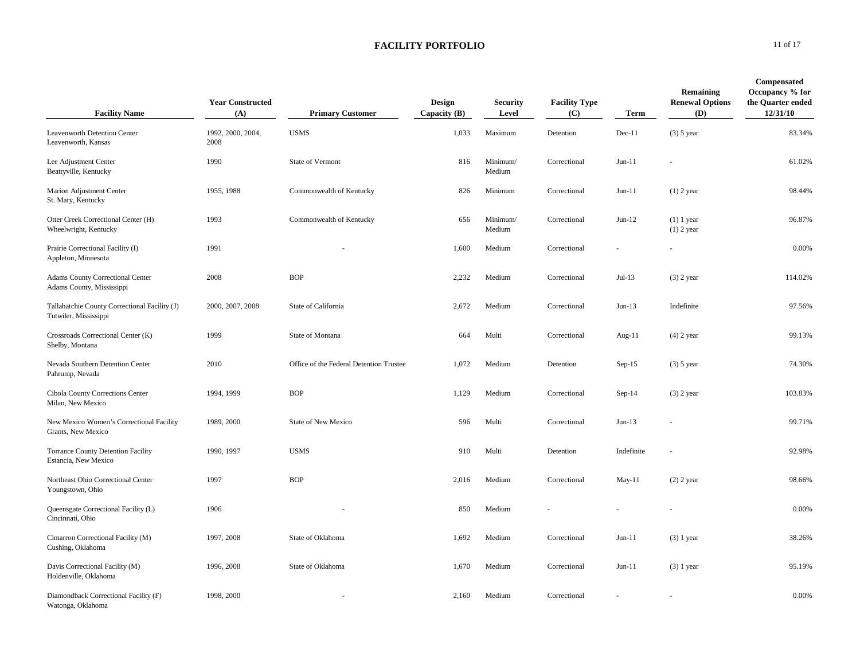| <b>Facility Name</b>                                                   | <b>Year Constructed</b><br>(A) | <b>Primary Customer</b>                 | Design<br>Capacity $(B)$ | <b>Security</b><br>Level | <b>Facility Type</b><br>(C) | Term       | Remaining<br><b>Renewal Options</b><br>(D) | <b>Compensated</b><br>Occupancy % for<br>the Quarter ended<br>12/31/10 |
|------------------------------------------------------------------------|--------------------------------|-----------------------------------------|--------------------------|--------------------------|-----------------------------|------------|--------------------------------------------|------------------------------------------------------------------------|
| Leavenworth Detention Center<br>Leavenworth, Kansas                    | 1992, 2000, 2004,<br>2008      | <b>USMS</b>                             | 1,033                    | Maximum                  | Detention                   | $Dec-11$   | $(3)$ 5 year                               | 83.34%                                                                 |
| Lee Adjustment Center<br>Beattyville, Kentucky                         | 1990                           | State of Vermont                        | 816                      | Minimum/<br>Medium       | Correctional                | $Jun-11$   |                                            | 61.02%                                                                 |
| Marion Adjustment Center<br>St. Mary, Kentucky                         | 1955, 1988                     | Commonwealth of Kentucky                | 826                      | Minimum                  | Correctional                | $Jun-11$   | $(1)$ 2 year                               | 98.44%                                                                 |
| Otter Creek Correctional Center (H)<br>Wheelwright, Kentucky           | 1993                           | Commonwealth of Kentucky                | 656                      | Minimum/<br>Medium       | Correctional                | $Jun-12$   | $(1)$ 1 year<br>$(1)$ 2 year               | 96.87%                                                                 |
| Prairie Correctional Facility (I)<br>Appleton, Minnesota               | 1991                           |                                         | 1,600                    | Medium                   | Correctional                |            |                                            | 0.00%                                                                  |
| <b>Adams County Correctional Center</b><br>Adams County, Mississippi   | 2008                           | <b>BOP</b>                              | 2,232                    | Medium                   | Correctional                | $Jul-13$   | $(3)$ 2 year                               | 114.02%                                                                |
| Tallahatchie County Correctional Facility (J)<br>Tutwiler, Mississippi | 2000, 2007, 2008               | State of California                     | 2,672                    | Medium                   | Correctional                | $Jun-13$   | Indefinite                                 | 97.56%                                                                 |
| Crossroads Correctional Center (K)<br>Shelby, Montana                  | 1999                           | State of Montana                        | 664                      | Multi                    | Correctional                | Aug-11     | $(4)$ 2 year                               | 99.13%                                                                 |
| Nevada Southern Detention Center<br>Pahrump, Nevada                    | 2010                           | Office of the Federal Detention Trustee | 1,072                    | Medium                   | Detention                   | $Sep-15$   | $(3)$ 5 year                               | 74.30%                                                                 |
| Cibola County Corrections Center<br>Milan, New Mexico                  | 1994, 1999                     | <b>BOP</b>                              | 1,129                    | Medium                   | Correctional                | $Sep-14$   | $(3)$ 2 year                               | 103.83%                                                                |
| New Mexico Women's Correctional Facility<br>Grants, New Mexico         | 1989, 2000                     | <b>State of New Mexico</b>              | 596                      | Multi                    | Correctional                | $Jun-13$   |                                            | 99.71%                                                                 |
| <b>Torrance County Detention Facility</b><br>Estancia, New Mexico      | 1990, 1997                     | <b>USMS</b>                             | 910                      | Multi                    | Detention                   | Indefinite |                                            | 92.98%                                                                 |
| Northeast Ohio Correctional Center<br>Youngstown, Ohio                 | 1997                           | <b>BOP</b>                              | 2,016                    | Medium                   | Correctional                | $May-11$   | $(2)$ 2 year                               | 98.66%                                                                 |
| Queensgate Correctional Facility (L)<br>Cincinnati, Ohio               | 1906                           |                                         | 850                      | Medium                   |                             |            |                                            | 0.00%                                                                  |
| Cimarron Correctional Facility (M)<br>Cushing, Oklahoma                | 1997, 2008                     | State of Oklahoma                       | 1,692                    | Medium                   | Correctional                | $Jun-11$   | $(3)$ 1 year                               | 38.26%                                                                 |
| Davis Correctional Facility (M)<br>Holdenville, Oklahoma               | 1996, 2008                     | State of Oklahoma                       | 1,670                    | Medium                   | Correctional                | $Jun-11$   | $(3)$ 1 year                               | 95.19%                                                                 |
| Diamondback Correctional Facility (F)<br>Watonga, Oklahoma             | 1998, 2000                     |                                         | 2,160                    | Medium                   | Correctional                |            |                                            | 0.00%                                                                  |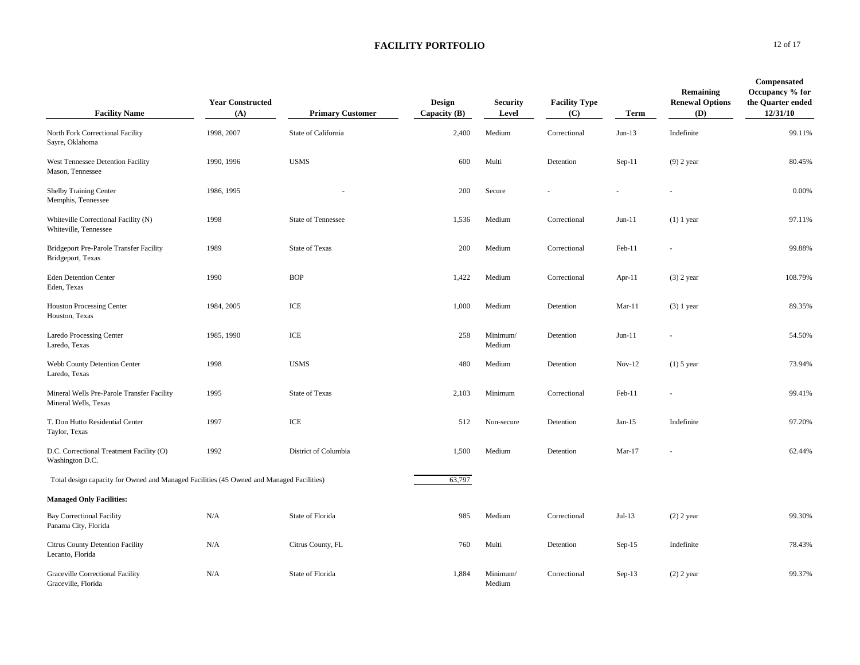| <b>Facility Name</b>                                                                     | <b>Year Constructed</b><br>(A) | <b>Primary Customer</b>   | Design<br>Capacity $(B)$ | <b>Security</b><br>Level | <b>Facility Type</b><br>(C) | <b>Term</b> | Remaining<br><b>Renewal Options</b><br>(D) | Compensated<br>Occupancy % for<br>the Quarter ended<br>12/31/10 |
|------------------------------------------------------------------------------------------|--------------------------------|---------------------------|--------------------------|--------------------------|-----------------------------|-------------|--------------------------------------------|-----------------------------------------------------------------|
| North Fork Correctional Facility<br>Sayre, Oklahoma                                      | 1998, 2007                     | State of California       | 2,400                    | Medium                   | Correctional                | $Jun-13$    | Indefinite                                 | 99.11%                                                          |
| West Tennessee Detention Facility<br>Mason, Tennessee                                    | 1990, 1996                     | <b>USMS</b>               | 600                      | Multi                    | Detention                   | $Sep-11$    | $(9)$ 2 year                               | 80.45%                                                          |
| <b>Shelby Training Center</b><br>Memphis, Tennessee                                      | 1986, 1995                     |                           | 200                      | Secure                   |                             |             |                                            | 0.00%                                                           |
| Whiteville Correctional Facility (N)<br>Whiteville, Tennessee                            | 1998                           | <b>State of Tennessee</b> | 1,536                    | Medium                   | Correctional                | $Jun-11$    | $(1)$ 1 year                               | 97.11%                                                          |
| Bridgeport Pre-Parole Transfer Facility<br>Bridgeport, Texas                             | 1989                           | <b>State of Texas</b>     | 200                      | Medium                   | Correctional                | Feb-11      |                                            | 99.88%                                                          |
| <b>Eden Detention Center</b><br>Eden, Texas                                              | 1990                           | <b>BOP</b>                | 1,422                    | Medium                   | Correctional                | Apr- $11$   | $(3)$ 2 year                               | 108.79%                                                         |
| <b>Houston Processing Center</b><br>Houston, Texas                                       | 1984, 2005                     | ICE                       | 1,000                    | Medium                   | Detention                   | $Mar-11$    | $(3)$ 1 year                               | 89.35%                                                          |
| Laredo Processing Center<br>Laredo, Texas                                                | 1985, 1990                     | ICE                       | 258                      | Minimum/<br>Medium       | Detention                   | $Jun-11$    |                                            | 54.50%                                                          |
| Webb County Detention Center<br>Laredo, Texas                                            | 1998                           | <b>USMS</b>               | 480                      | Medium                   | Detention                   | $Nov-12$    | $(1)$ 5 year                               | 73.94%                                                          |
| Mineral Wells Pre-Parole Transfer Facility<br>Mineral Wells, Texas                       | 1995                           | <b>State of Texas</b>     | 2,103                    | Minimum                  | Correctional                | Feb-11      |                                            | 99.41%                                                          |
| T. Don Hutto Residential Center<br>Taylor, Texas                                         | 1997                           | $\ensuremath{\text{ICE}}$ | 512                      | Non-secure               | Detention                   | Jan-15      | Indefinite                                 | 97.20%                                                          |
| D.C. Correctional Treatment Facility (O)<br>Washington D.C.                              | 1992                           | District of Columbia      | 1,500                    | Medium                   | Detention                   | $Mar-17$    |                                            | 62.44%                                                          |
| Total design capacity for Owned and Managed Facilities (45 Owned and Managed Facilities) |                                |                           | 63,797                   |                          |                             |             |                                            |                                                                 |
| <b>Managed Only Facilities:</b>                                                          |                                |                           |                          |                          |                             |             |                                            |                                                                 |
| <b>Bay Correctional Facility</b><br>Panama City, Florida                                 | N/A                            | State of Florida          | 985                      | Medium                   | Correctional                | $Jul-13$    | $(2)$ 2 year                               | 99.30%                                                          |
| Citrus County Detention Facility<br>Lecanto, Florida                                     | N/A                            | Citrus County, FL         | 760                      | Multi                    | Detention                   | $Sep-15$    | Indefinite                                 | 78.43%                                                          |
| <b>Graceville Correctional Facility</b><br>Graceville, Florida                           | N/A                            | State of Florida          | 1,884                    | Minimum/<br>Medium       | Correctional                | $Sep-13$    | $(2)$ 2 year                               | 99.37%                                                          |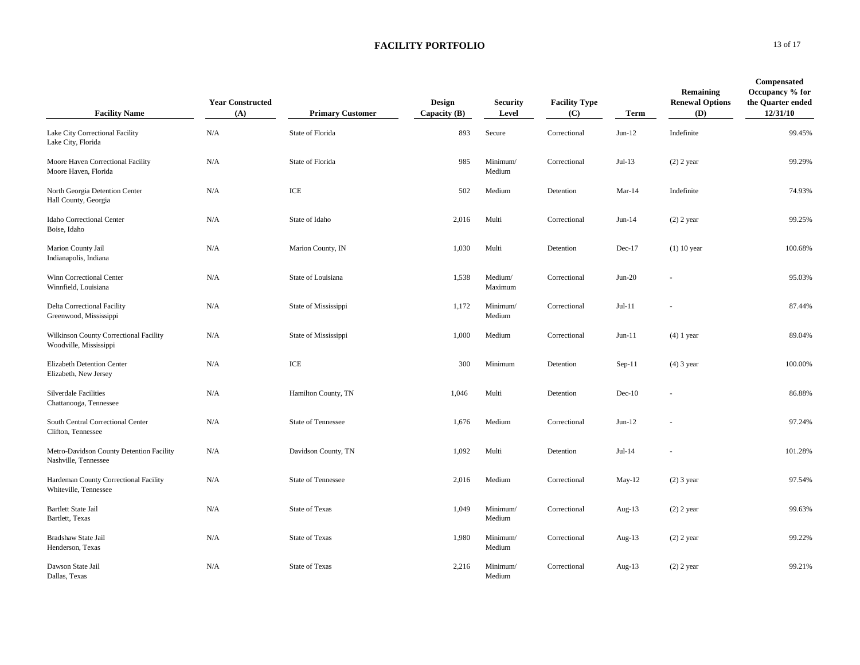| <b>Facility Name</b>                                             | <b>Year Constructed</b><br>(A) | <b>Primary Customer</b>   | Design<br>Capacity $(B)$ | <b>Security</b><br>Level | <b>Facility Type</b><br>(C) | Term      | Remaining<br><b>Renewal Options</b><br>(D) | Compensated<br>Occupancy % for<br>the Quarter ended<br>12/31/10 |
|------------------------------------------------------------------|--------------------------------|---------------------------|--------------------------|--------------------------|-----------------------------|-----------|--------------------------------------------|-----------------------------------------------------------------|
| Lake City Correctional Facility<br>Lake City, Florida            | N/A                            | State of Florida          | 893                      | Secure                   | Correctional                | $Jun-12$  | Indefinite                                 | 99.45%                                                          |
| Moore Haven Correctional Facility<br>Moore Haven, Florida        | N/A                            | State of Florida          | 985                      | Minimum/<br>Medium       | Correctional                | $Jul-13$  | $(2)$ 2 year                               | 99.29%                                                          |
| North Georgia Detention Center<br>Hall County, Georgia           | N/A                            | $\ensuremath{\text{ICE}}$ | 502                      | Medium                   | Detention                   | $Mar-14$  | Indefinite                                 | 74.93%                                                          |
| Idaho Correctional Center<br>Boise, Idaho                        | N/A                            | State of Idaho            | 2,016                    | Multi                    | Correctional                | $Jun-14$  | $(2)$ 2 year                               | 99.25%                                                          |
| Marion County Jail<br>Indianapolis, Indiana                      | N/A                            | Marion County, IN         | 1,030                    | Multi                    | Detention                   | Dec-17    | $(1)$ 10 year                              | 100.68%                                                         |
| Winn Correctional Center<br>Winnfield, Louisiana                 | N/A                            | State of Louisiana        | 1,538                    | Medium/<br>Maximum       | Correctional                | $Jun-20$  |                                            | 95.03%                                                          |
| Delta Correctional Facility<br>Greenwood, Mississippi            | N/A                            | State of Mississippi      | 1,172                    | Minimum/<br>Medium       | Correctional                | $Jul-11$  |                                            | 87.44%                                                          |
| Wilkinson County Correctional Facility<br>Woodville, Mississippi | N/A                            | State of Mississippi      | 1,000                    | Medium                   | Correctional                | $Jun-11$  | $(4)$ 1 year                               | 89.04%                                                          |
| Elizabeth Detention Center<br>Elizabeth, New Jersey              | $\rm N/A$                      | $\ensuremath{\text{ICE}}$ | 300                      | Minimum                  | Detention                   | $Sep-11$  | $(4)$ 3 year                               | 100.00%                                                         |
| <b>Silverdale Facilities</b><br>Chattanooga, Tennessee           | N/A                            | Hamilton County, TN       | 1,046                    | Multi                    | Detention                   | $Dec-10$  |                                            | 86.88%                                                          |
| South Central Correctional Center<br>Clifton, Tennessee          | N/A                            | <b>State of Tennessee</b> | 1,676                    | Medium                   | Correctional                | $Jun-12$  |                                            | 97.24%                                                          |
| Metro-Davidson County Detention Facility<br>Nashville, Tennessee | N/A                            | Davidson County, TN       | 1,092                    | Multi                    | Detention                   | $Jul-14$  |                                            | 101.28%                                                         |
| Hardeman County Correctional Facility<br>Whiteville, Tennessee   | N/A                            | <b>State of Tennessee</b> | 2,016                    | Medium                   | Correctional                | May-12    | $(2)$ 3 year                               | 97.54%                                                          |
| <b>Bartlett State Jail</b><br>Bartlett, Texas                    | N/A                            | <b>State of Texas</b>     | 1,049                    | Minimum/<br>Medium       | Correctional                | Aug- $13$ | $(2)$ 2 year                               | 99.63%                                                          |
| Bradshaw State Jail<br>Henderson, Texas                          | N/A                            | State of Texas            | 1,980                    | Minimum/<br>Medium       | Correctional                | Aug- $13$ | $(2)$ 2 year                               | 99.22%                                                          |
| Dawson State Jail<br>Dallas, Texas                               | N/A                            | <b>State of Texas</b>     | 2,216                    | Minimum/<br>Medium       | Correctional                | Aug- $13$ | $(2)$ 2 year                               | 99.21%                                                          |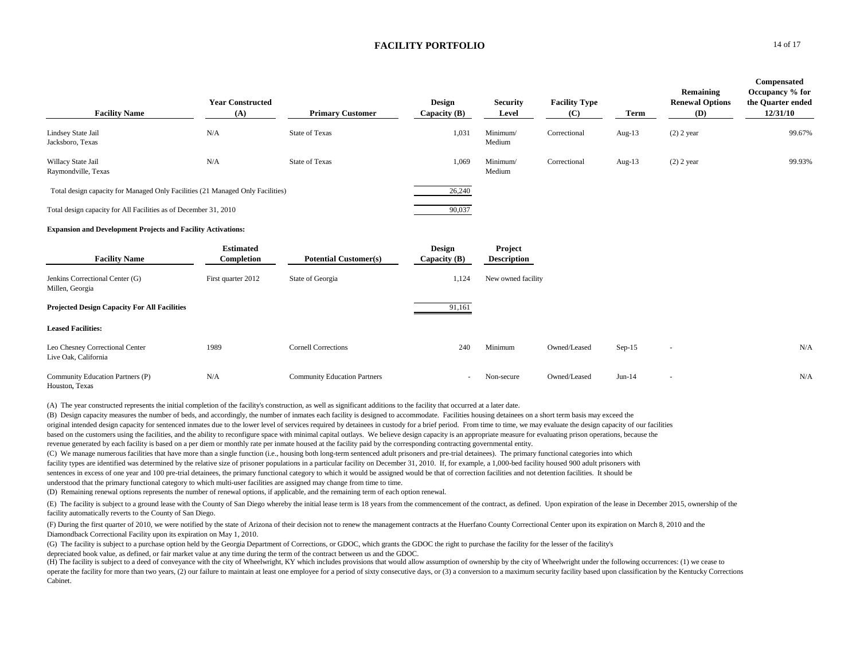| <b>Facility Name</b>                                                           | <b>Year Constructed</b><br>(A) | <b>Primary Customer</b>             | Design<br>Capacity $(B)$        | <b>Security</b><br>Level      | <b>Facility Type</b><br>(C) | Term      | Remaining<br><b>Renewal Options</b><br>(D) | Compensated<br>Occupancy % for<br>the Quarter ended<br>12/31/10 |
|--------------------------------------------------------------------------------|--------------------------------|-------------------------------------|---------------------------------|-------------------------------|-----------------------------|-----------|--------------------------------------------|-----------------------------------------------------------------|
| Lindsey State Jail<br>Jacksboro, Texas                                         | N/A                            | <b>State of Texas</b>               | 1,031                           | Minimum/<br>Medium            | Correctional                | Aug- $13$ | $(2)$ 2 year                               | 99.67%                                                          |
| Willacy State Jail<br>Raymondville, Texas                                      | N/A                            | <b>State of Texas</b>               | 1,069                           | Minimum/<br>Medium            | Correctional                | Aug- $13$ | $(2)$ 2 year                               | 99.93%                                                          |
| Total design capacity for Managed Only Facilities (21 Managed Only Facilities) |                                |                                     | 26,240                          |                               |                             |           |                                            |                                                                 |
| Total design capacity for All Facilities as of December 31, 2010               |                                |                                     | 90,037                          |                               |                             |           |                                            |                                                                 |
| <b>Expansion and Development Projects and Facility Activations:</b>            |                                |                                     |                                 |                               |                             |           |                                            |                                                                 |
| <b>Facility Name</b>                                                           | <b>Estimated</b><br>Completion | <b>Potential Customer(s)</b>        | <b>Design</b><br>Capacity $(B)$ | Project<br><b>Description</b> |                             |           |                                            |                                                                 |
| Jenkins Correctional Center (G)<br>Millen, Georgia                             | First quarter 2012             | State of Georgia                    | 1,124                           | New owned facility            |                             |           |                                            |                                                                 |
| <b>Projected Design Capacity For All Facilities</b>                            |                                |                                     | 91,161                          |                               |                             |           |                                            |                                                                 |
| <b>Leased Facilities:</b>                                                      |                                |                                     |                                 |                               |                             |           |                                            |                                                                 |
| Leo Chesney Correctional Center<br>Live Oak, California                        | 1989                           | <b>Cornell Corrections</b>          | 240                             | Minimum                       | Owned/Leased                | $Sep-15$  | $\sim$                                     | N/A                                                             |
| Community Education Partners (P)<br>Houston, Texas                             | N/A                            | <b>Community Education Partners</b> | $\overline{\phantom{a}}$        | Non-secure                    | Owned/Leased                | $Jun-14$  | $\overline{\phantom{a}}$                   | N/A                                                             |

(A) The year constructed represents the initial completion of the facility's construction, as well as significant additions to the facility that occurred at a later date.

(B) Design capacity measures the number of beds, and accordingly, the number of inmates each facility is designed to accommodate. Facilities housing detainees on a short term basis may exceed the original intended design capacity for sentenced inmates due to the lower level of services required by detainees in custody for a brief period. From time to time, we may evaluate the design capacity of our facilities based on the customers using the facilities, and the ability to reconfigure space with minimal capital outlays. We believe design capacity is an appropriate measure for evaluating prison operations, because the revenue generated by each facility is based on a per diem or monthly rate per inmate housed at the facility paid by the corresponding contracting governmental entity.

(C) We manage numerous facilities that have more than a single function (i.e., housing both long-term sentenced adult prisoners and pre-trial detainees). The primary functional categories into which facility types are identified was determined by the relative size of prisoner populations in a particular facility on December 31, 2010. If, for example, a 1,000-bed facility housed 900 adult prisoners with sentences in excess of one year and 100 pre-trial detainees, the primary functional category to which it would be assigned would be that of correction facilities and not detention facilities. It should be understood that the primary functional category to which multi-user facilities are assigned may change from time to time.

(D) Remaining renewal options represents the number of renewal options, if applicable, and the remaining term of each option renewal.

(E) The facility is subject to a ground lease with the County of San Diego whereby the initial lease term is 18 years from the commencement of the contract, as defined. Upon expiration of the lease in December 2015, owners facility automatically reverts to the County of San Diego.

(F) During the first quarter of 2010, we were notified by the state of Arizona of their decision not to renew the management contracts at the Huerfano County Correctional Center upon its expiration on March 8, 2010 and the Diamondback Correctional Facility upon its expiration on May 1, 2010.

(G) The facility is subject to a purchase option held by the Georgia Department of Corrections, or GDOC, which grants the GDOC the right to purchase the facility for the lesser of the facility's depreciated book value, as defined, or fair market value at any time during the term of the contract between us and the GDOC.

(H) The facility is subject to a deed of conveyance with the city of Wheelwright, KY which includes provisions that would allow assumption of ownership by the city of Wheelwright under the following occurrences: (1) we cea operate the facility for more than two years, (2) our failure to maintain at least one employee for a period of sixty consecutive days, or (3) a conversion to a maximum security facility based upon classification by the Ke Cabinet.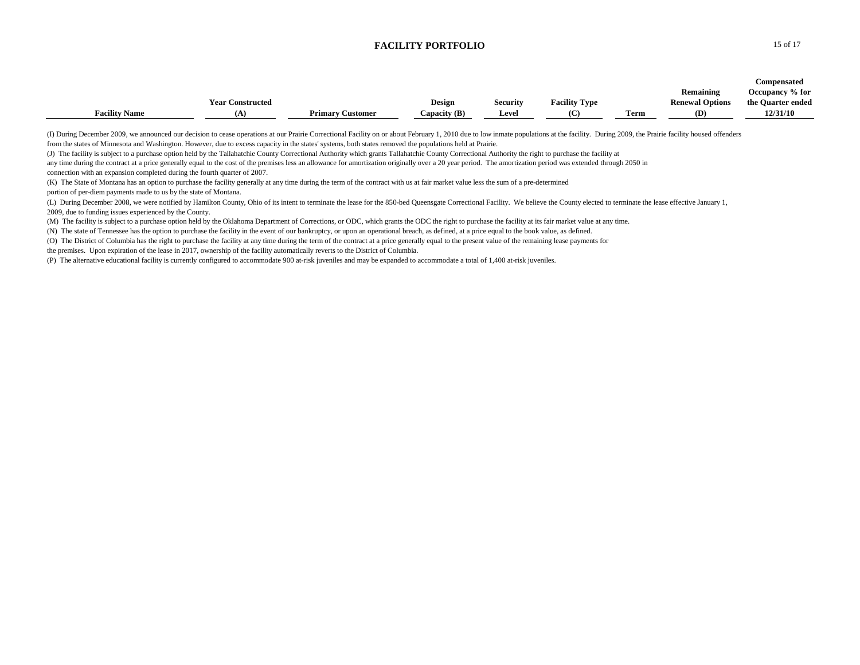|                      |                         |                         |                |                 |                      |      |                        | Compensated       |
|----------------------|-------------------------|-------------------------|----------------|-----------------|----------------------|------|------------------------|-------------------|
|                      |                         |                         |                |                 |                      |      | Remaining              | Occupancy % for   |
|                      | <b>Year Constructed</b> |                         | Design         | <b>Security</b> | <b>Facility Type</b> |      | <b>Renewal Options</b> | the Quarter ended |
| <b>Facility Name</b> | 'А.                     | <b>Primary Customer</b> | Capacity $(B)$ | <b>Level</b>    |                      | Term | (D)                    | 12/31/10          |

(I) During December 2009, we announced our decision to cease operations at our Prairie Correctional Facility on or about February 1, 2010 due to low inmate populations at the facility. During 2009, the Prairie facility hou from the states of Minnesota and Washington. However, due to excess capacity in the states' systems, both states removed the populations held at Prairie.

(J) The facility is subject to a purchase option held by the Tallahatchie County Correctional Authority which grants Tallahatchie County Correctional Authority the right to purchase the facility at

any time during the contract at a price generally equal to the cost of the premises less an allowance for amortization originally over a 20 year period. The amortization period was extended through 2050 in connection with an expansion completed during the fourth quarter of 2007.

(K) The State of Montana has an option to purchase the facility generally at any time during the term of the contract with us at fair market value less the sum of a pre-determined

portion of per-diem payments made to us by the state of Montana.

(L) During December 2008, we were notified by Hamilton County, Ohio of its intent to terminate the lease for the 850-bed Queensgate Correctional Facility. We believe the County elected to terminate the lease effective Janu 2009, due to funding issues experienced by the County.

(M) The facility is subject to a purchase option held by the Oklahoma Department of Corrections, or ODC, which grants the ODC the right to purchase the facility at its fair market value at any time.

(N) The state of Tennessee has the option to purchase the facility in the event of our bankruptcy, or upon an operational breach, as defined, at a price equal to the book value, as defined.

(O) The District of Columbia has the right to purchase the facility at any time during the term of the contract at a price generally equal to the present value of the remaining lease payments for

the premises. Upon expiration of the lease in 2017, ownership of the facility automatically reverts to the District of Columbia.

(P) The alternative educational facility is currently configured to accommodate 900 at-risk juveniles and may be expanded to accommodate a total of 1,400 at-risk juveniles.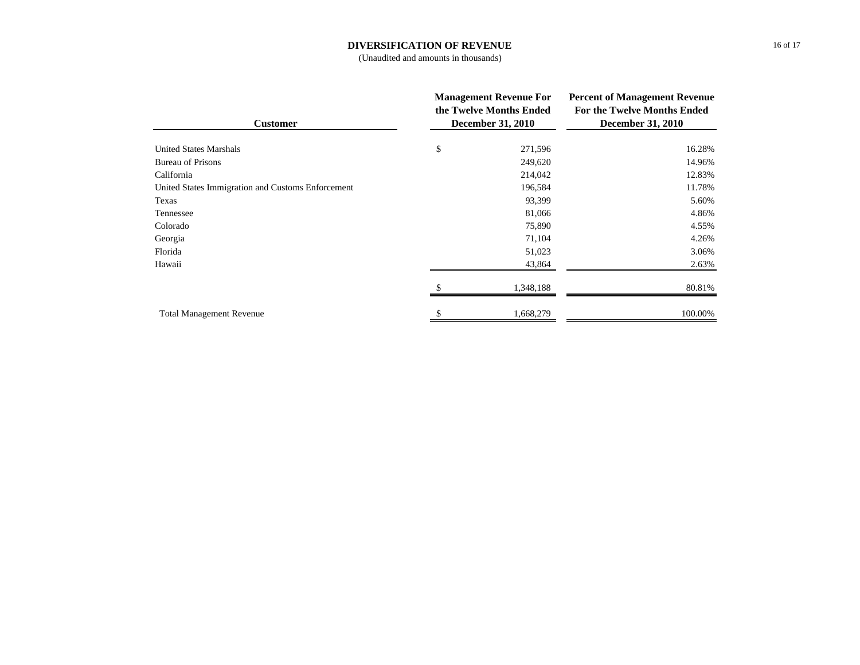## **DIVERSIFICATION OF REVENUE**

(Unaudited and amounts in thousands)

| <b>Customer</b>                                   | <b>Management Revenue For</b><br>the Twelve Months Ended<br><b>December 31, 2010</b> | <b>Percent of Management Revenue</b><br><b>For the Twelve Months Ended</b><br><b>December 31, 2010</b> |  |
|---------------------------------------------------|--------------------------------------------------------------------------------------|--------------------------------------------------------------------------------------------------------|--|
| <b>United States Marshals</b>                     | \$<br>271,596                                                                        | 16.28%                                                                                                 |  |
| <b>Bureau of Prisons</b>                          | 249,620                                                                              | 14.96%                                                                                                 |  |
| California                                        | 214,042                                                                              | 12.83%                                                                                                 |  |
| United States Immigration and Customs Enforcement | 196,584                                                                              | 11.78%                                                                                                 |  |
| Texas                                             | 93,399                                                                               | 5.60%                                                                                                  |  |
| Tennessee                                         | 81,066                                                                               | 4.86%                                                                                                  |  |
| Colorado                                          | 75,890                                                                               | 4.55%                                                                                                  |  |
| Georgia                                           | 71,104                                                                               | 4.26%                                                                                                  |  |
| Florida                                           | 51,023                                                                               | 3.06%                                                                                                  |  |
| Hawaii                                            | 43,864                                                                               | 2.63%                                                                                                  |  |
|                                                   | 1,348,188                                                                            | 80.81%                                                                                                 |  |
| <b>Total Management Revenue</b>                   | 1,668,279                                                                            | 100.00%                                                                                                |  |